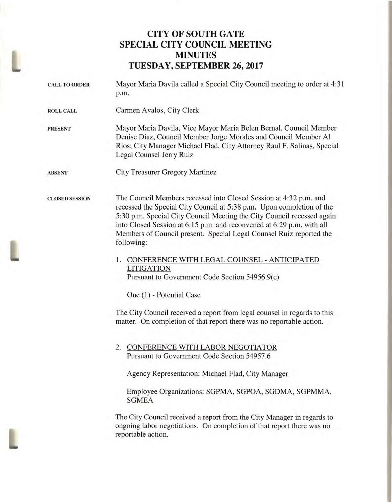## **CITY OF SOUTH GATE SPECIAL CITY COUNCIL MEETING MINUTES TUESDAY, SEPTEMBER 26, 2017**

L

| <b>CALL TO ORDER</b>  | Mayor Maria Davila called a Special City Council meeting to order at 4:31<br>p.m.                                                                                                                                                                                                                                                                                                  |
|-----------------------|------------------------------------------------------------------------------------------------------------------------------------------------------------------------------------------------------------------------------------------------------------------------------------------------------------------------------------------------------------------------------------|
| <b>ROLL CALL</b>      | Carmen Avalos, City Clerk                                                                                                                                                                                                                                                                                                                                                          |
| <b>PRESENT</b>        | Mayor Maria Davila, Vice Mayor Maria Belen Bernal, Council Member<br>Denise Diaz, Council Member Jorge Morales and Council Member Al<br>Rios; City Manager Michael Flad, City Attorney Raul F. Salinas, Special<br>Legal Counsel Jerry Ruiz                                                                                                                                        |
| <b>ABSENT</b>         | <b>City Treasurer Gregory Martinez</b>                                                                                                                                                                                                                                                                                                                                             |
| <b>CLOSED SESSION</b> | The Council Members recessed into Closed Session at 4:32 p.m. and<br>recessed the Special City Council at 5:38 p.m. Upon completion of the<br>5:30 p.m. Special City Council Meeting the City Council recessed again<br>into Closed Session at 6:15 p.m. and reconvened at 6:29 p.m. with all<br>Members of Council present. Special Legal Counsel Ruiz reported the<br>following: |
|                       | 1. CONFERENCE WITH LEGAL COUNSEL - ANTICIPATED<br><b>LITIGATION</b><br>Pursuant to Government Code Section 54956.9(c)                                                                                                                                                                                                                                                              |
|                       | One (1) - Potential Case                                                                                                                                                                                                                                                                                                                                                           |
|                       | The City Council received a report from legal counsel in regards to this<br>matter. On completion of that report there was no reportable action.                                                                                                                                                                                                                                   |
|                       | 2. CONFERENCE WITH LABOR NEGOTIATOR<br>Pursuant to Government Code Section 54957.6                                                                                                                                                                                                                                                                                                 |
|                       | Agency Representation: Michael Flad, City Manager                                                                                                                                                                                                                                                                                                                                  |
|                       | Employee Organizations: SGPMA, SGPOA, SGDMA, SGPMMA,<br><b>SGMEA</b>                                                                                                                                                                                                                                                                                                               |
|                       | The City Council received a report from the City Manager in regards to<br>ongoing labor negotiations. On completion of that report there was no<br>reportable action.                                                                                                                                                                                                              |
|                       |                                                                                                                                                                                                                                                                                                                                                                                    |